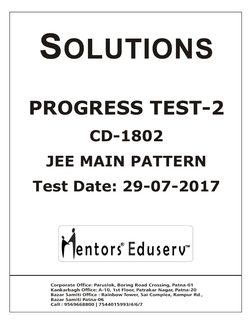# SOLUTIONS **PROGRESS TEST-2 CD-1802 JEE MAIN PATTERNTest Date: 29-07-2017**



**Corporate Office: Paruslok, Boring Road Crossing, Patna-01** Kankarbagh Office: A-10, 1st Floor, Patrakar Nagar, Patna-20 Bazar Samiti Office: Rainbow Tower, Sai Complex, Rampur Rd., **Bazar Samiti Patna-06** Call: 9569668800 | 7544015993/4/6/7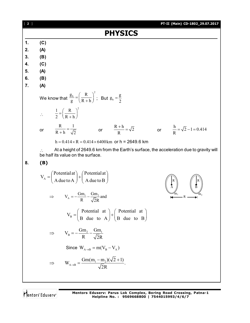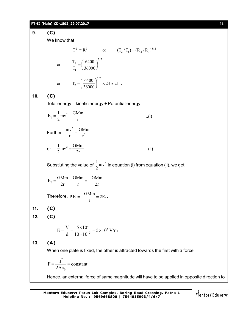**PT-II (Main) CD-1802\_29.07.2017** [ **3** ] **9. (C)** We know that  $T^2 \propto R^3$  or  $(T_2/T_1) = (R_2/R_1)^{3/2}$ 3/ 2 1 2 36000 6400 T or  $\frac{T_2}{T_1} = \left(\frac{6400}{26000}\right)$  $\bigg)$  $\left(\frac{6400}{26000}\right)$  $\setminus$  $=$  $($  $24 \approx 2$  hr. 36000 or  $T_2 = \frac{6400}{2500}$ 3/ 2  $\gamma_2 = \left| \frac{\sqrt{0.000}}{26000} \right| \times 24 \approx$ J  $\left(\frac{6400}{26000}\right)$  $\setminus$  $=$  $($ **10. (C)** Total energy = kinetic energy + Potential energy  $E_0 = \frac{1}{2}mv^2 - \frac{GMm}{r}$  $=\frac{1}{2}mv^2 - \frac{3m}{r}$  ...(i) Further, 2 2  $mv^2$  GMm  $r \t r^2$  $=$ or  $\frac{1}{2}mv^2 = \frac{GMm}{2}$  $\frac{1}{2}mv^2 = \frac{3m}{2r}$  ...(ii) Substiuting the value of  $\frac{1}{2}mv^2$  $\frac{1}{2}$ mv $\textdegree$  in equation (i) from equation (ii), we get  $E_0 = \frac{GMm}{2r} - \frac{GMm}{r} = -\frac{GMm}{2r}$  $2r$  r  $2r$  $=\frac{3m}{2} - \frac{3m}{2} = -\frac{3m}{2}$ Therefore,  $P.E. = -\frac{GMm}{r} = 2E_0$ r  $=-\frac{94 \text{m}}{2E_0}$ . **11. (C) 12. (C)**  $\frac{3}{2}$  = 5 \s 10<sup>5</sup>  $E = \frac{V}{d} = \frac{5 \times 10^3}{10 \times 10^{-3}} = 5 \times 10^5$  V/m  $d \overline{10 \times 10^{-1}}$  $=\frac{V}{1}=\frac{5\times10^{3}}{10-10^{-3}}=5\times1$  $\times$ **13. (A)** When one plate is fixed, the other is attracted towards the first with a force 2  $\boldsymbol{0}$  $F = \frac{q^2}{24}$  = constant 2A  $=\frac{q}{24}$  = 0  $\epsilon$ Hence, an external force of same magnitude will have to be applied in opposite direction to

Mentors<sup>®</sup> Eduserv<sup>®</sup>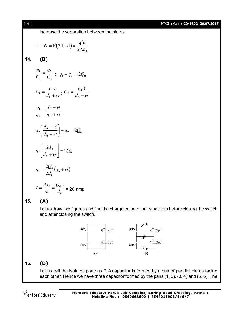increase the separation between the plates.

$$
\therefore \quad W = F(2d - d) = \frac{q^2 d}{2A\epsilon_0}
$$

**14. (B)**

$$
\frac{q_1}{C_1} = \frac{q_2}{C_2} \; ; \; q_1 + q_2 = 2Q_0
$$

$$
C_1 = \frac{\varepsilon_0 A}{d_0 + vt}; \ C_2 = \frac{\varepsilon_0 A}{d_0 - vt}
$$

$$
\frac{q_1}{q_2} = \frac{d_0 - vt}{d_0 + vt}
$$

$$
q_2\left(\frac{d_0 - vt}{d_0 + vt}\right) + q_2 = 2Q_0
$$

0 2 *Q*

$$
q_2\left[\frac{2d_0}{d_0+vt}\right]=
$$

$$
q_2 = \frac{2Q_0}{2d_0} (d_0 + vt)
$$

$$
I = \frac{dq_2}{dt} = \frac{Q_0 v}{d_0} = 20 \text{ amp}
$$

**15. (A)**

 $q_{2}$ 

Let us draw two figures and find the charge on both the capacitors before closing the switch and after closing the switch.



# **16. (D)**

Let us call the isolated plate as P. A capacitor is formed by a pair of parallel plates facing each other. Hence we have three capacitor formed by the pairs (1, 2), (3, 4) and (5, 6). The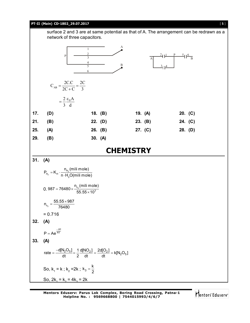### **PT-II (Main) CD-1802\_29.07.2017** [ **5** ]

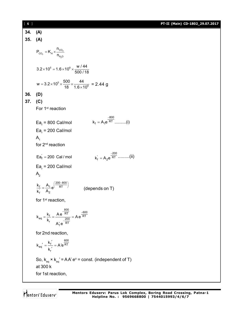| [6] |                                                                                                                                                                                           | PT-II (Main) CD-1802_29.07.2017 |
|-----|-------------------------------------------------------------------------------------------------------------------------------------------------------------------------------------------|---------------------------------|
| 34. | (A)                                                                                                                                                                                       |                                 |
|     | 35. (A)                                                                                                                                                                                   |                                 |
|     | $P_{CO_2} = K_H \times \frac{n_{CO_2}}{n_{H.O}}$                                                                                                                                          |                                 |
|     | $3.2 \times 10^5 = 1.6 \times 10^8 \times \frac{w/44}{500/18}$                                                                                                                            |                                 |
|     | $w = 3.2 \times 10^5 \times \frac{500}{18} \times \frac{44}{1.6 \times 10^8} = 2.44 g$                                                                                                    |                                 |
| 36. | (D)                                                                                                                                                                                       |                                 |
| 37. | (C)                                                                                                                                                                                       |                                 |
|     | For 1 <sup>st</sup> reaction                                                                                                                                                              |                                 |
|     | $\text{Ea}_{\text{f}}$ = 800 Cal/mol<br>$\text{Ea}_{r}$ = 200 Cal/mol<br>A <sub>1</sub><br>for 2 <sup>nd</sup> reaction<br>$k_f = A_2 e^{\frac{-200}{RT}}$ (ii)<br>$Ea_f = 200$ Cal / mol |                                 |
|     | $\text{Ea}_{r}$ = 200 Cal/mol<br>$A_{2}$                                                                                                                                                  |                                 |
|     | $\frac{k_f}{k_f} = \frac{A_1}{A_2} e^{\frac{(200 - 800)}{RT}}$<br>(depends on T)                                                                                                          |                                 |
|     | for 1 <sup>st</sup> reaction,                                                                                                                                                             |                                 |
|     | $k_{eq} = \frac{k_f}{k_r} = \frac{A e^{-\overline{RT}}}{A'_1 e^{-\overline{RT}}} = A e^{\frac{-600}{\overline{RT}}}$                                                                      |                                 |
|     | for 2nd reaction,                                                                                                                                                                         |                                 |
|     | $k_{eq}^{\prime} = \frac{k_f^{\prime}}{k_r^{\prime}} = A'e^{\frac{600}{RT}}$                                                                                                              |                                 |
|     | So, $k_{eq} \times k_{eq} = AA$ e° = const. (independent of T)<br>at 300 k<br>for 1st reaction,                                                                                           |                                 |
|     |                                                                                                                                                                                           |                                 |

Mentors<sup>e</sup> Eduserv<sup>-</sup>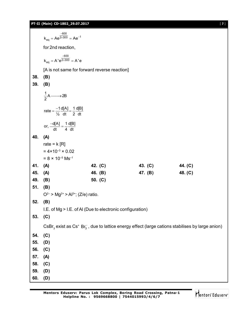# **PT-II (Main) CD-1802\_29.07.2017** [ **7** ]

|     | $k_{eq} = Ae^{\frac{-600}{2 \times 300}} = Ae^{-1}$                                                                                 |           |         |         |  |  |
|-----|-------------------------------------------------------------------------------------------------------------------------------------|-----------|---------|---------|--|--|
|     | for 2nd reaction,                                                                                                                   |           |         |         |  |  |
|     | $k_{eq} = A' e^{\frac{-600}{2 \times 300}} = A' e$                                                                                  |           |         |         |  |  |
|     | [A is not same for forward reverse reaction]                                                                                        |           |         |         |  |  |
| 38. | (B)                                                                                                                                 |           |         |         |  |  |
| 39. | (B)                                                                                                                                 |           |         |         |  |  |
|     | $\frac{1}{2}$ A $\longrightarrow$ 2B                                                                                                |           |         |         |  |  |
|     | rate = $\frac{-1}{\frac{1}{6}} \frac{d[A]}{dt} = \frac{1}{2} \frac{d[B]}{dt}$                                                       |           |         |         |  |  |
|     | or, $\frac{-d[A]}{dt} = \frac{1}{4} \frac{d[B]}{dt}$                                                                                |           |         |         |  |  |
| 40. | (A)                                                                                                                                 |           |         |         |  |  |
|     | rate = $k[R]$                                                                                                                       |           |         |         |  |  |
|     | $= 4 \times 10^{-3} \times 0.02$                                                                                                    |           |         |         |  |  |
|     | $= 8 \times 10^{-5}$ Ms <sup>-1</sup>                                                                                               |           |         |         |  |  |
| 41. | (A)                                                                                                                                 | 42. (C)   | 43. (C) | 44. (C) |  |  |
| 45. | (A)                                                                                                                                 | 46. (B)   | 47. (B) | 48. (C) |  |  |
| 49. | (B)                                                                                                                                 | 50. $(C)$ |         |         |  |  |
| 51. | (B)                                                                                                                                 |           |         |         |  |  |
| 52. | $Q^{2-}$ > Mg <sup>2+</sup> > Al <sup>3+</sup> ; (Z/e) ratio.                                                                       |           |         |         |  |  |
|     | (B)                                                                                                                                 |           |         |         |  |  |
| 53. | I.E. of Mg > I.E. of AI (Due to electronic configuration)                                                                           |           |         |         |  |  |
|     | (C)                                                                                                                                 |           |         |         |  |  |
|     | CsBr <sub>3</sub> exist as Cs <sup>+</sup> Br <sub>3</sub> , due to lattice energy effect (large cations stabilises by large anion) |           |         |         |  |  |
| 54. | (C)                                                                                                                                 |           |         |         |  |  |
| 55. | (D)                                                                                                                                 |           |         |         |  |  |
| 56. | (C)                                                                                                                                 |           |         |         |  |  |
| 57. | (A)                                                                                                                                 |           |         |         |  |  |
| 58. | (C)                                                                                                                                 |           |         |         |  |  |
| 59. | (D)                                                                                                                                 |           |         |         |  |  |
| 60. | (D)                                                                                                                                 |           |         |         |  |  |

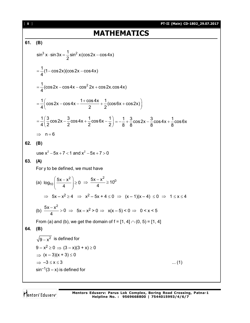[ **8** ] **PT-II (Main) CD-1802\_29.07.2017 MATHEMATICS 61. (B)**  $\sin^3 x \cdot \sin 3x = \frac{1}{6} \sin^2 x (\cos 2x - \cos 4x)$ 2  $\cdot$  sin 3x =  $\frac{1}{6}$  sin<sup>2</sup> x (cos 2x – o  $\frac{1}{1}$ (1 – cos 2x)(cos 2x – cos 4x) 4  $= -(1 - \cos 2x)(\cos 2x - \cos 2x)$  $\frac{1}{2}$ (cos 2x – cos 4x – cos $^2$  2x + cos 2x.cos 4x) 4  $=\frac{1}{4}$ (cos 2x – cos 4x – cos <sup>2</sup> 2x + 0  $\frac{1}{2}$  cos2x – cos4x –  $\frac{1+\cos4x}{2}$  +  $\frac{1}{2}$  (cos6x + cos2x)  $4($  2 2  $=\frac{1}{4}\left(\cos 2x - \cos 4x - \frac{1+\cos 4x}{2} + \frac{1}{2}(\cos 6x + \cos 2x)\right)$  $\frac{1}{2}$  $\left(\frac{3}{2} \cos 2x - \frac{3}{2} \cos 4x + \frac{1}{2} \cos 6x - \frac{1}{2}\right)$  $4(2 \t 2 \t 2 \t 2 \t 2)$  $=\frac{1}{4}\left(\frac{3}{2}\cos2x-\frac{3}{2}\cos4x+\frac{1}{2}\cos6x-\frac{1}{2}\right)=-\frac{1}{8}+\frac{3}{8}\cos2x-\frac{3}{8}\cos4x+\frac{1}{8}\cos6x$ 8 8 8 8  $=-\frac{1}{2}+\frac{3}{6}\cos 2x-\frac{3}{6}\cos 4x+\frac{1}{6}$  $\Rightarrow$  n = 6 **62. (B)** use  $x^2 - 5x + 7 < 1$  and  $x^2 - 5x + 7 > 0$ **63. (A)** For y to be defined, we must have (a) 2  $log_{10} \left( \frac{5x - x^2}{4} \right) \ge 0$ 4  $\left(5x-x^2\right)$  $\left|\frac{3n+1}{4}\right|\ge$  $(4)$  $\frac{5x - x^2}{1} \ge 10^0$ 4  $\Rightarrow \frac{5x-x^2}{1} \geq 1$  $\Rightarrow$  5x – x<sup>2</sup>  $\ge$  4  $\Rightarrow$  x<sup>2</sup> – 5x + 4  $\le$  0  $\Rightarrow$  (x – 1)(x – 4)  $\le$  0  $\Rightarrow$  1  $\le$  x  $\le$  4 (b)  $\frac{5x-x^2}{1}>0$ 4  $\frac{-x^2}{4}$  > 0  $\Rightarrow$  5x - x<sup>2</sup> > 0  $\Rightarrow$  x(x - 5) < 0  $\Rightarrow$  0 < x < 5 From (a) and (b), we get the domain of  $f = [1, 4] \cap (0, 5) = [1, 4]$ **64. (B)**  $\mathsf{g}_{-\mathsf{X}}^2$  is defined for  $9 - x^2 \ge 0 \implies (3 - x)(3 + x) \ge 0$  $\Rightarrow$   $(x - 3)(x + 3) \le 0$  $\Rightarrow -3 \le x \le 3$  ... (1)  $\sin^{-1}(3 - x)$  is defined for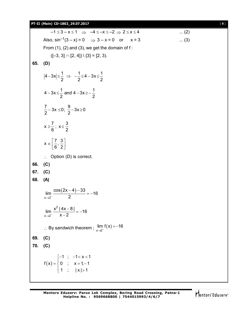## **PT-II (Main) CD-1802\_29.07.2017** [ **9** ]

|     | $-1 \leq 3-x \leq 1 \Rightarrow -4 \leq -x \leq -2 \Rightarrow 2 \leq x \leq 4$       | $\dots (2)$ |
|-----|---------------------------------------------------------------------------------------|-------------|
|     | Also, $sin^{-1}(3 - x) = 0$ $\Rightarrow$ $3 - x = 0$ or $x = 3$                      | $\dots(3)$  |
|     | From $(1)$ , $(2)$ and $(3)$ , we get the domain of f:                                |             |
|     | $([-3, 3] \cap [2, 4]) \setminus \{3\} = [2, 3).$                                     |             |
| 65. | (D)                                                                                   |             |
|     | $ 4-3x  \leq \frac{1}{2} \Rightarrow -\frac{1}{2} \leq 4-3x \leq \frac{1}{2}$         |             |
|     | $4-3x\leq \frac{1}{2}$ and $4-3x\geq -\frac{1}{2}$                                    |             |
|     | $\frac{7}{2}$ – 3x $\leq$ 0; $\frac{9}{2}$ –3x $\geq$ 0                               |             |
|     | $x \geq \frac{7}{6}$ ; $x \leq \frac{3}{2}$                                           |             |
|     | $X \in \left[\frac{7}{6}, \frac{3}{2}\right]$                                         |             |
|     | $\therefore$ Option (D) is correct.                                                   |             |
| 66. | (C)                                                                                   |             |
| 67. | (C)                                                                                   |             |
| 68. | (A)                                                                                   |             |
|     | $\lim_{x\to 2^{-}}\frac{\cos(2x-4)-33}{2}=-16$                                        |             |
|     | $\lim_{x\to 2^{-}}\frac{x^2 4x-8 }{x-2}=-16$                                          |             |
|     | : By sandwich theorem ; $\lim_{x\to 2^{-}} f(x) = -16$                                |             |
| 69. | (C)                                                                                   |             |
| 70. | (C)                                                                                   |             |
|     | $f(x) = \begin{cases} -1; & -1 < x < 1 \\ 0; & x = 1, -1 \\ 1; &  x  > 1 \end{cases}$ |             |
|     |                                                                                       |             |

Mentors<sup>e</sup> Eduserv<sup>-</sup>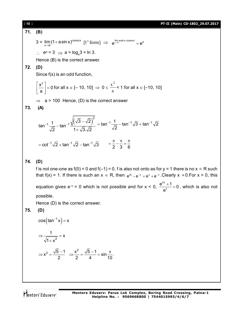## [ **10** ] **PT-II (Main) CD-1802\_29.07.2017**

71. **(B)**  
\n3 = 
$$
\lim_{x\to 0} (1 + a\sin x)^{\csc x}
$$
 [1<sup>*x*</sup> form] ⇒ e<sup>lim a sin x cos x</sup> = e<sup>*a*</sup>  
\n∴ e<sup>*a*</sup> = 3 ⇒ a = log<sub>a</sub>3 = ln 3.  
\nHence (B) is the correct answer.  
\n72. **(D)**  
\nSince f(x) is an odd function,  
\n $\left[\frac{x^2}{a}\right] = 0$  for all  $x \in [-10, 10] \Rightarrow 0 \le \frac{x^2}{a} < 1$  for all  $x \in [-10, 10]$   
\n⇒ a > 100 Hence, (D) is the correct answer  
\n73. **(A)**  
\n $\tan^{-1} \frac{1}{\sqrt{2}} - \tan^{-1} \frac{\sqrt{(\sqrt{3} - \sqrt{2})^2}}{1 + \sqrt{3} \cdot \sqrt{2}} = \tan^{-1} \frac{1}{\sqrt{2}} - \tan^{-1} \sqrt{3} + \tan^{-1} \sqrt{2}$   
\n $= \cot^{-1} \sqrt{2} + \tan^{-1} \sqrt{2} - \tan^{-1} \sqrt{3} = \frac{\pi}{2} - \frac{\pi}{3} = \frac{\pi}{6}$   
\n74. **(D)**  
\nIf is not one-one as f(0) = 0 and f(-1) = 0. f is also not onto as for y = 1 there is no x ∈ R such that f(x) = 1. If there is such an x ∈ R, then e<sup>N1</sup> – e<sup>-x</sup> = e<sup>x</sup> + e<sup>-x</sup>. Clearly x ≠ 0.For x > 0, this equation gives e<sup>-x</sup> = 0 which is not possible and for x < 0,  $\frac{e^{2x} + 1}{e^x} = 0$ , which is also not possible.  
\nHence (D) is the correct answer.  
\n75. **(D)**  
\n $\cos(\tan^{-1} x) = x$   
\n⇒  $\frac{1}{e^x} = \frac{1}{\sqrt{2}} = \frac{1}{\sqrt{2}}$ 

$$
\sqrt{1+x^2}
$$
  
\n
$$
\Rightarrow x^2 = \frac{\sqrt{5}-1}{2} \Rightarrow \frac{x^2}{2} = \frac{\sqrt{5}-1}{4} = \sin \frac{\pi}{10}.
$$

Mentors<sup>\*</sup> Eduserv<sup>-</sup>

2x  $\frac{e^{2x}+1}{e^{x}}=0$ e

 $\frac{+1}{ }=0$ , which is also not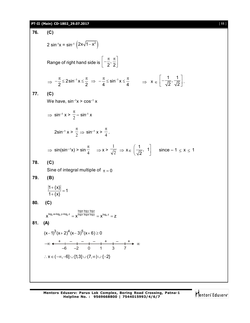### **PT-II (Main) CD-1802\_29.07.2017** [ **11** ]

**76. (C)** 2 sin<sup>-1</sup>x = sin<sup>-1</sup>  $(2x\sqrt{1-x^2})$ Range of right hand side is  $\left[-\frac{\pi}{2},\frac{\pi}{2}\right]$  $\left[-\frac{\pi}{2},\frac{\pi}{2}\right]$  $\Rightarrow -\frac{\pi}{2} \leq 2\sin^{-1} x \leq \frac{\pi}{2} \Rightarrow -\frac{\pi}{4} \leq \sin^{-1} x$  $-\frac{\pi}{2} \leq 2 \sin^{-1} x \leq \frac{\pi}{2} \Rightarrow -\frac{\pi}{4} \leq \sin^{-1} x \leq \frac{\pi}{4} \Rightarrow x \in \left[ -\frac{1}{\sqrt{2}}, \frac{1}{\sqrt{2}} \right]$  $2 \sqrt{2}$  $\left[-\frac{1}{\sqrt{2}},\frac{1}{\sqrt{2}}\right].$ **77. (C)** We have,  $sin^{-1}x > cos^{-1}x$  $\Rightarrow$  sin<sup>-1</sup> x >  $\frac{\pi}{2}$  $\pi$  $-$  sin $^{-1}$  x  $2\sin^{-1} x > \frac{1}{2}$  $\pi$  $\Rightarrow$  sin<sup>-1</sup> x >  $\frac{4}{4}$  $\pi$ .  $\Rightarrow$  sin(sin<sup>--1</sup>x) > sin $\frac{4}{4}$  $\pi$  $\Rightarrow$  x >  $\overline{\sqrt{2}}$ 1  $\Rightarrow$  X<sub>E</sub>  $\left(\frac{1}{\sqrt{2}}, 1\right)$  $\left(\frac{1}{\sqrt{2}}, 1\right)$  since  $-1 \le x \le 1$ **78. (C)** Sine of integral multiple of  $\pi = 0$ **79. (B)**  $1 + \{x\}$ 1  $1 + \{x\}$  $\ddot{}$  $=$  $\ddot{}$ **80. (C)**  $x^{\alpha \wedge \log_{\alpha} y \wedge \log_{y} z} = \mathbf{v}^{\log x \log a \log y} = \mathbf{v}^{\log_{x} z}$  $\mathbf{x}^{\log_{x}a\times log_{a}y\times log_{y}z} = \mathbf{x}^{\frac{log_{x}log_{x}log_{y}logz}{log_{x}log_{y}z}} = \mathbf{x}^{\log_{x}z} = z$ **81. (A)**  $(x-1)^3 (x+2)^4 (x-3)^5 (x+6) \ge 0$ + – – – + – + –6 –2 0 1 3 7  $\therefore$  X  $\in (-\infty, -6] \cup [1,3] \cup (7,\infty) \cup \{-2\}$ 

Mentors Eduserv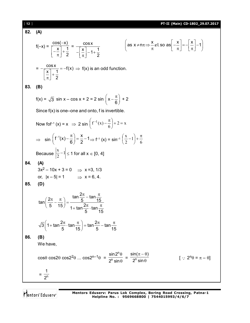[ **12** ] **PT-II (Main) CD-1802\_29.07.2017 82. (A)** f(–x) = cos( x) x 1 2 = cosx x 1 <sup>1</sup> 2 x x x as x n I so as 1 , = cosx f(x) x 1 2 f(x) is an odd function. **83. (B)** f(x) = 3 sin x – cos x + 2 = 2 sin x 6 + 2 Since f(x) is one–one and onto, f is invertible. Now fof–1 (x) = x 2 sin 2 x 6 f (x) 1 sin <sup>1</sup> <sup>x</sup> f (x) 1 6 2 f–1 (x) = sin–1 6 1 2 x Because 1 2 x 1 for all x [0, 4] **84. (A)** 3x2 – 10x + 3 = 0 x =3, 1/3 or, |x – 5| = 1 x = 6, 4. **85. (D)** 2 tan tan <sup>2</sup> 5 15 tan 5 15 2 1 tan tan 5 15 2 2 3 1 tan tan tan tan 5 15 5 15 **86. (B)** We have, cos cos2 cos22 ... cos2n–1 = n n sin2 2 sin = <sup>n</sup> sin( ) 2 sin [ 2n = – ] = <sup>n</sup> 1 2

Mentors<sup>e</sup> Eduserv<sup>-</sup>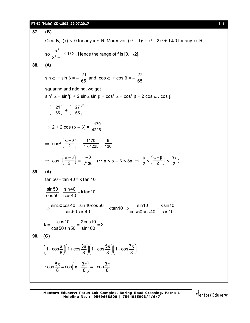### **PT-II (Main) CD-1802\_29.07.2017** [ **13** ]

**87. (B)** Clearly,  $f(x) \ge 0$  for any  $x \in R$ . Moreover,  $(x^2 - 1)^2 = x^4 - 2x^2 + 1 \ge 0$  for any  $x \in R$ , so 2 4  $\frac{x^2}{x^4} \leq 1/2$  $x^4 + 1$  $\leq$  $\frac{1}{2}$  = 1/ 2 . Hence the range of f is [0, 1/2]. **88. (A)**  $\sin \alpha + \sin \beta = -$ 21  $\frac{-1}{65}$  and cos  $\alpha$  + cos  $\beta$  = – 27 65 squaring and adding, we get  $\sin^2 \alpha + \sin^2 \beta + 2 \sin \alpha \sin \beta + \cos^2 \alpha + \cos^2 \beta + 2 \cos \alpha \cdot \cos \beta$ = 2 65  $-\frac{21}{25}$ J  $\left(-\frac{21}{25}\right)$  $\overline{\phantom{0}}$  $\left(-\frac{21}{65}\right)^2 +$ 2 65  $-\frac{27}{25}$ J  $\left(-\frac{27}{25}\right)$  $\overline{\phantom{0}}$ ſ  $\Rightarrow$  2 + 2 cos ( $\alpha - \beta$ ) =  $\frac{1170}{4225}$  $\Rightarrow$  cos<sup>2</sup>  $\left(\frac{\alpha-\beta}{2}\right)$  $\left(\frac{\alpha-\beta}{\alpha}\right)$  $\backslash$  $\left( \alpha - \beta \right)$ 2 –  $=\frac{1170}{4 \times 4225}$  $\frac{1170}{\times 4225} = \frac{9}{130}$  $\Rightarrow$  cos  $\left(\frac{\alpha-\beta}{2}\right)$  $\left(\frac{\alpha-\beta}{\alpha}\right)$  $\backslash$  $\left( \alpha - \beta \right)$ 2 –  $=\sqrt{130}$ – 3  $(\because \pi \leq \alpha - \beta \leq 3\pi \Rightarrow \frac{\pi}{2} < \left(\frac{\alpha - \beta}{2}\right)$  $\left(\frac{\alpha-\beta}{\alpha}\right)$  $\backslash$  $\left( \alpha - \beta \right)$ 2 –  $< \frac{3\pi}{2}$ **89. (A)** tan 50 – tan 40 = k tan 10  $\frac{\sin 50}{50} - \frac{\sin 40}{10} = k \tan 10$ cos50 cos40  $-\frac{3m+10}{2m+10} = 1$  $\frac{\sin 50 \cos 40 - \sin 40 \cos 50}{50} = k \tan 10$ cos50cos40  $\Rightarrow \frac{\sin 50 \cos 40 - \sin 40 \cos 50}{\sin 10} = k \tan 10 \Rightarrow \frac{\sin 10}{\sin 50 \cos 10} = \frac{k \sin 10}{\sin 10}$ cos50cos40 cos10  $\Rightarrow \frac{60110}{2} = \frac{1}{2}$  $k = \frac{\cos 10}{50 \cdot 50} = \frac{2 \cos 10}{1 + 100} = 2$ cos50sin50 sin100  $=$   $\frac{38810}{50 \div 50} = \frac{288810}{1000} =$  2 **90. (C)**  $1+\cos{\frac{\pi}{6}} \left(1+\cos{\frac{3\pi}{6}}\right) \left(1+\cos{\frac{5\pi}{6}}\right) \left(1+\cos{\frac{7\pi}{6}}\right)$ 8 八 8 八 8 八 8 8  $\left(1+\cos\frac{\pi}{8}\right)\left(1+\cos\frac{3\pi}{8}\right)\left(1+\cos\frac{5\pi}{8}\right)\left(1+\cos\frac{7\pi}{8}\right)$  $\cos\frac{5\pi}{2} = \cos\left(\pi - \frac{3\pi}{2}\right) = -\cos\frac{3\pi}{2}$  $\therefore \cos \frac{5\pi}{8} = \cos \left( \pi - \frac{3\pi}{8} \right) = -\cos \frac{3\pi}{8}$